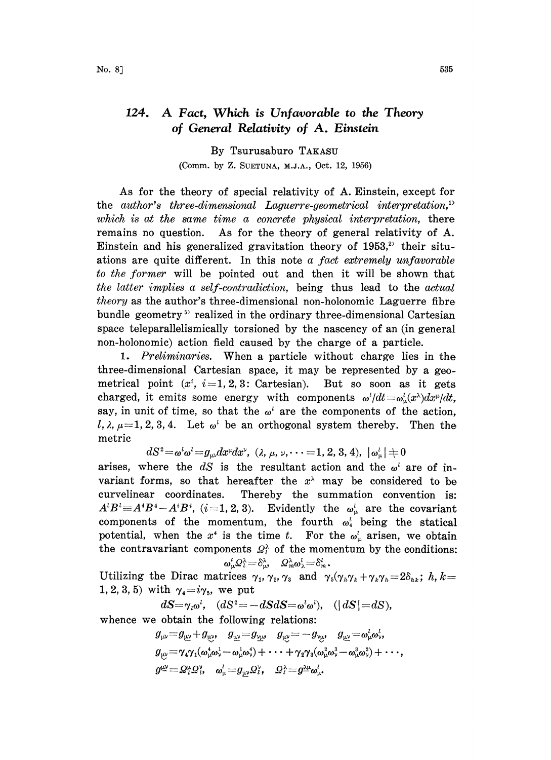## 124. A Fact, Which is Unfavorable to the Theory of General Relativity of A. Einstein

## By Tsurusaburo TAKASU (Comm. by Z. SUETUNA, M.J.A., Oct. 12, 1956)

As for the theory of special relativity of A. Einstein, except for the *author's* three-dimensional Laguerre-geometrical interpretation,<sup>1</sup> which is at the same time a concrete physical interpretation, there remains no question. As for the theory of general relativity of A. Einstein and his generalized gravitation theory of  $1953$ ,<sup>2</sup> their situations are quite different. In this note a fact extremely unfavorable to the former will be pointed out and then it will be shown that the latter implies a self-contradiction, being thus lead to the actual theory as the author's three-dimensional non-holonomic Laguerre fibre bundle geometry<sup>5</sup> realized in the ordinary three-dimensional Cartesian space teleparallelismically torsioned by the nascency of an (in general non-holonomic) action field caused by the charge of a particle.

1. Preliminaries. When a particle without charge lies in the three-dimensional Cartesian space, it may be represented by a geometrical point  $(x^i, i=1,2,3)$ : Cartesian). But so soon as it gets charged, it emits some energy with components  $\omega'/dt = \omega_u(x)dx^{\mu}/dt$ , say, in unit of time, so that the  $\omega^i$  are the components of the action, l,  $\lambda$ ,  $\mu=1, 2, 3, 4$ . Let  $\omega^i$  be an orthogonal system thereby. Then the metric

 $dS^2 = \omega^i \omega^i = g_{\mu\nu} dx^{\mu} dx^{\nu}$ , ( $\lambda$ ,  $\mu$ ,  $\nu$ ,  $\dots = 1, 2, 3, 4$ ),  $|\omega^i_{\mu}| \neq 0$ 

arises, where the  $dS$  is the resultant action and the  $\omega^i$  are of invariant forms, so that hereafter the  $x^{\lambda}$  may be considered to be curvelinear coordinates. Thereby the summation convention is:  $A<sup>i</sup>B<sup>i</sup> \equiv A<sup>i</sup>B<sup>i</sup> - A<sup>i</sup>B<sup>i</sup>$ , (i=1, 2, 3). Evidently the  $\omega_{\mu}^{i}$  are the covariant components of the momentum, the fourth  $\omega_4^i$  being the statical potential, when the  $x^4$  is the time t. For the  $\omega_{\mu}^l$  arisen, we obtain the contravariant components  $\Omega_i^{\lambda}$  of the momentum by the conditions:<br> $\omega_{\mu}^{\lambda} \Omega_i^{\lambda} = \delta_{\mu}^{\lambda}, \quad \Omega_m^{\lambda} \omega_{\lambda}^{\lambda} = \delta_m^{\mu}$ .

Utilizing the Dirac matrices  $\gamma_1, \gamma_2, \gamma_3$  and  $\gamma_5(\gamma_h \gamma_k + \gamma_k \gamma_h = 2\delta_{hk}; h, k=$ 1, 2, 3, 5) with  $\gamma_4=i\gamma_5$ , we put

whence we obtain the following relations:  $dS=\gamma_i\omega^i, \quad (dS^2=-dSdS=\omega^i\omega^i), \quad (\mid dS\mid=dS),$ <br>
gobtain the following relations:<br>  $g_{\mu\nu}=g_{\mu\nu}+g_{\mu\nu}, \quad g_{\mu\nu}=g_{\nu\mu}, \quad g_{\mu\nu}=-g_{\nu\mu}, \quad g_{\mu\nu}=\omega^i_\mu\omega^i_\nu,$ 

 $g_{\mu\nu} = \gamma_4\gamma_1(\omega_\mu^4\omega_\nu^1-\omega_\mu^1\omega_\nu^4) + \cdots + \gamma_2\gamma_3(\omega_\mu^2\omega_\nu^3-\omega_\mu^3\omega_\nu^2) + \cdots,$  $g^{\underline{\mu\nu}} = \varOmega^{\underline{\mu}}_{\ i}\varOmega^{\underline{\nu}}_{\ i},\quad \omega^i_{\underline{\mu}} = g_{\underline{\mu}\underline{\nu}}\varOmega^{\underline{\nu}}_{\ i},\quad \varOmega^{\underline{\lambda}}_{\ \ i} = g^{\underline{\lambda}\underline{\mu}}\omega^{\underline{\nu}}_{\underline{\mu}}.$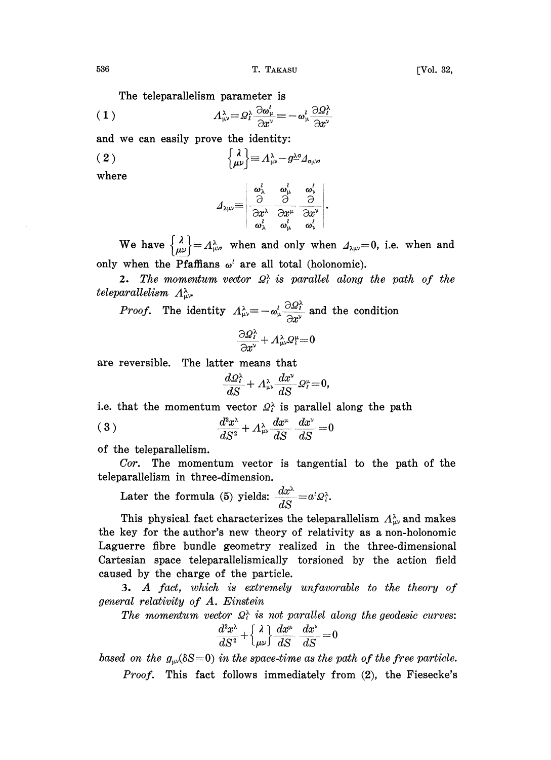536 T. TAKAsu [Vol. 32,

The teleparallelism parameter is

$$
(1) \t\t\t A_{\mu\nu}^{\lambda} = \Omega_t^{\lambda} \frac{\partial \omega_{\mu}^{\prime}}{\partial x^{\nu}} = -\omega_{\mu}^{l} \frac{\partial \Omega_t^{\lambda}}{\partial x^{\nu}}
$$

and we can easily prove the identity:

(2) 
$$
\begin{cases} \lambda \\ \mu \nu \end{cases} = \Lambda_{\mu\nu}^{\lambda} - g^{\lambda\sigma} \Lambda_{\sigma\mu\nu},
$$

where

$$
\varLambda_{\lambda\mu\nu}\equiv\begin{vmatrix}\n\omega^l_\lambda & \omega^l_\mu & \omega^l_\nu \\
\frac{\partial}{\partial x^\lambda} & \frac{\partial}{\partial x^\mu} & \frac{\partial}{\partial x^\nu} \\
\omega^l_\lambda & \omega^l_\mu & \omega^l_\nu\n\end{vmatrix}.
$$

We have  $\begin{cases} \lambda \\ \mu\nu \end{cases} = A_{\mu\nu}^{\lambda}$  when and only when  $\lambda_{\lambda\mu\nu} = 0$ , i.e. when and only when the Pfaffians  $\omega^i$  are all total (holonomic).

2. The momentum vector  $\Omega_t^{\lambda}$  is parallel along the path of the teleparallelism  $\Lambda_{\mu\nu}^{\lambda}$ .

*Proof.* The identity  $A_{\mu\nu}^{\lambda} \equiv -\omega_{\mu}^{i} \frac{\partial Q_{i}^{\lambda}}{\partial r^{\nu}}$  and the condition  $\frac{\partial \Omega_t^{\lambda}}{\partial x^{\nu}} + A_{\mu\nu}^{\lambda} \Omega_t^{\mu} = 0$ 

are reversible. The latter means that

$$
\frac{d\Omega_t^{\lambda}}{dS} + A_{\mu\nu}^{\lambda} \frac{dx^{\nu}}{dS} \Omega_t^{\mu} = 0,
$$

i.e. that the momentum vector  $\Omega_t^{\lambda}$  is parallel along the path

$$
(3) \qquad \qquad \frac{d^2x^{\lambda}}{dS^2} + A^{\lambda}_{\mu\nu}\frac{dx^{\mu}}{dS} \frac{dx^{\nu}}{dS} = 0
$$

of the teleparallelism.

Cor. The momentum vector is tangential to the path of the teleparallelism in three-dimension.

Later the formula (5) yields:  $\frac{dx^{\lambda}}{dS}$ 

This physical fact characterizes the teleparallelism  $A_{\mu\nu}^{\lambda}$  and makes the key for the author's new theory of relativity as a non-holonomic Laguerre fibre bundle geometry realized in the three-dimensional Cartesian space teleparallelismically torsioned by the action field caused by the charge of the particle.

3. A fact, which is extremely unfavorable to the theory of general relativity of A. Einstein

The momentum vector  $\Omega_t^{\lambda}$  is not parallel along the geodesic curves:

$$
\frac{d^2x^{\lambda}}{dS^2} + \begin{cases} \lambda \\ \mu\nu \end{cases} \frac{dx^{\mu}}{dS} \frac{dx^{\nu}}{dS} = 0
$$

based on the  $g_{\mu\nu}(\delta S=0)$  in the space-time as the path of the free particle.

Proof. This fact follows immediately from (2), the Fiesecke's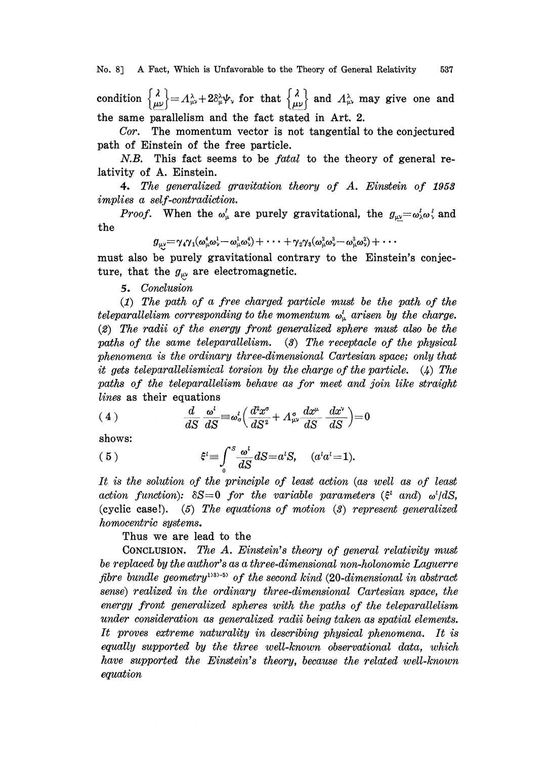condition  $\begin{cases} \lambda \\ \mu\nu \end{cases} = A_{\mu\nu}^{\lambda} + 2\delta_{\mu}^{\lambda}\psi_{\nu}$  for that  $\begin{cases} \lambda \\ \mu\nu \end{cases}$  and  $A_{\mu\nu}^{\lambda}$  may give one and the same parallelism and the fact stated in Art. 2.

Cor. The momentum vector is not tangential to the conjectured path of Einstein of the free particle.

N.B. This fact seems to be *fatal* to the theory of general relativity of A. Einstein.

4. The generalized gravitation theory of A. Einstein of 1953 implies a self-contradiction.

*Proof.* When the  $\omega_{\mu}^{l}$  are purely gravitational, the  $g_{\mu\nu} = \omega_{\lambda}^{l} \omega_{\nu}^{l}$  and the

$$
g_{\mu\nu} = \gamma_4 \gamma_1 (\omega_\mu^4 \omega_\nu^1 - \omega_\mu^1 \omega_\nu^4) + \cdots + \gamma_2 \gamma_3 (\omega_\mu^2 \omega_\nu^3 - \omega_\mu^3 \omega_\nu^2) + \cdots
$$

must also be purely gravitational contrary to the Einstein's conjecture, that the  $g_{\mu\nu}$  are electromagnetic.

5. Conclusion

(1) The path of a free charged particle must be the path of the teleparallelism corresponding to the momentum  $\mathbf{\omega}_{\mu}^{l}$  arisen by the charge. 2) The radii of the energy front generalized sphere must also be the paths of the same teleparallelism. (3) The receptacle of the physical phenomena is the ordinary three-dimensional Cartesian space; only that it gets teleparallelismical torsion by the charge of the particle.  $(4)$  The paths of the teleparallelism behave as for meet and join like straight lines as their equations

(4) 
$$
\frac{d}{dS}\frac{\omega^{i}}{dS} \equiv \omega_{\sigma}^{i} \left( \frac{d^{2}x^{\sigma}}{dS^{2}} + A_{\mu\nu}^{\sigma} \frac{dx^{\mu}}{dS} \frac{dx^{\nu}}{dS} \right) = 0
$$

shows:

(5) 
$$
\xi^{l} \equiv \int_{0}^{s} \frac{\omega^{l}}{dS} dS = a^{l}S, \quad (a^{l}a^{l} = 1).
$$

It is the solution of the principle of least action (as well as of least action function):  $\delta S=0$  for the variable parameters ( $\xi^i$  and)  $\omega^i/dS$ , (cyclic case!).  $(5)$  The equations of motion  $(3)$  represent generalized homocentric systems.

Thus we are lead to the

COnCLUSiOn. The A. Einstein's theory of general relativity must be replaced by the author's as a three-dimensional non-holonomic Laguerre fibre bundle geometry<sup>133-55</sup> of the second kind  $(20$ -dimensional in abstract sense) realized in the ordinary three-dimensional Cartesian space, the energy front generalized spheres with the paths of the teleparallelism under consideration as generalized radii being taken as spatial elements. It proves extreme naturality in describing physical phenomena. It is equally supported by the three well-known observational data, which have supported the Einstein's theory, because the related well-known equation